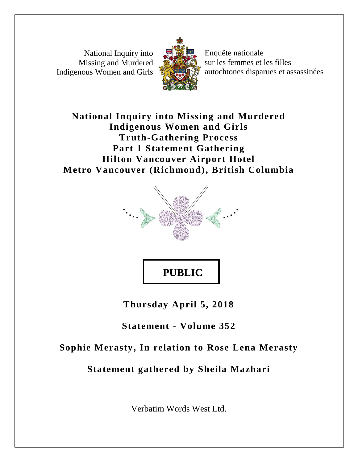National Inquiry into Missing and Murdered Indigenous Women and Girls



Enquête nationale sur les femmes et les filles autochtones disparues et assassinées

## **National Inquiry into Missing and Murdered Indigenous Women and Girls Truth-Gathering Process Part 1 Statement Gathering Hilton Vancouver Airport Hotel Metro Vancouver (Richmond), British Columbia**



# **PUBLIC**

**Thursday April 5, 2018**

## **Statement - Volume 352**

## **Sophie Merasty, In relation to Rose Lena Merasty**

## **Statement gathered by Sheila Mazhari**

Verbatim Words West Ltd.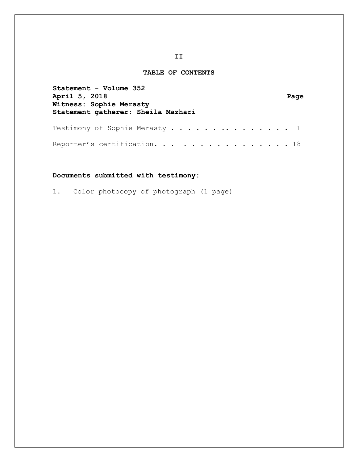#### **TABLE OF CONTENTS**

| Statement - Volume 352             |      |
|------------------------------------|------|
| April 5, 2018                      | Page |
| Witness: Sophie Merasty            |      |
| Statement gatherer: Sheila Mazhari |      |
|                                    |      |
| Testimony of Sophie Merasty 1      |      |
|                                    |      |
| Reporter's certification. 18       |      |

#### **Documents submitted with testimony:**

1. Color photocopy of photograph (1 page)

#### **II**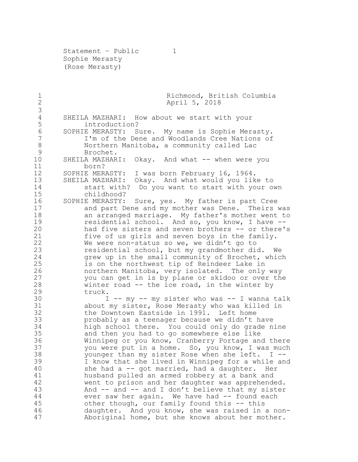Statement - Public 1 Sophie Merasty (Rose Merasty)

1 Richmond, British Columbia<br>2 April 5, 2018 April 5, 2018 4 SHEILA MAZHARI: How about we start with your<br>5 introduction? introduction? SOPHIE MERASTY: Sure. My name is Sophie Merasty. I'm of the Dene and Woodlands Cree Nations of Northern Manitoba, a community called Lac Brochet. SHEILA MAZHARI: Okay. And what -- when were you born? SOPHIE MERASTY: I was born February 16, 1964. SHEILA MAZHARI: Okay. And what would you like to start with? Do you want to start with your own childhood? SOPHIE MERASTY: Sure, yes. My father is part Cree 17 and part Dene and my mother was Dene. Theirs was<br>18 an arranged marriage. My father's mother went to an arranged marriage. My father's mother went to 19 residential school. And so, you know, I have -- had five sisters and seven brothers -- or there's five of us girls and seven boys in the family. 22 We were non-status so we, we didn't go to<br>23 Tesidential school, but my grandmother di residential school, but my grandmother did. We grew up in the small community of Brochet, which is on the northwest tip of Reindeer Lake in northern Manitoba, very isolated. The only way you can get in is by plane or skidoo or over the winter road -- the ice road, in the winter by truck. I -- my -- my sister who was -- I wanna talk about my sister, Rose Merasty who was killed in the Downtown Eastside in 1991. Left home probably as a teenager because we didn't have 34 high school there. You could only do grade nine<br>35 and then you had to go somewhere else like and then you had to go somewhere else like 36 Winnipeg or you know, Cranberry Portage and there<br>37 vou were put in a home. So, you know, I was much you were put in a home. So, you know, I was much younger than my sister Rose when she left. I -- I know that she lived in Winnipeg for a while and she had a -- got married, had a daughter. Her husband pulled an armed robbery at a bank and went to prison and her daughter was apprehended. And -- and -- and I don't believe that my sister 44 ever saw her again. We have had -- found each other though, our family found this -- this daughter. And you know, she was raised in a non-Aboriginal home, but she knows about her mother.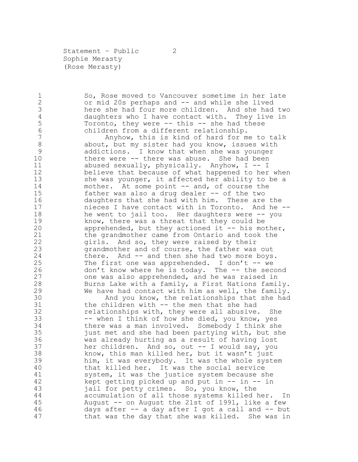Statement - Public 2 Sophie Merasty (Rose Merasty)

1 So, Rose moved to Vancouver sometime in her late<br>2 or mid 20s perhaps and -- and while she lived 2 or mid 20s perhaps and -- and while she lived<br>3 here she had four more children. And she had here she had four more children. And she had two 4 daughters who I have contact with. They live in<br>5 Toronto, they were -- this -- she had these Toronto, they were  $--$  this  $--$  she had these children from a different relationship. Anyhow, this is kind of hard for me to talk 8 about, but my sister had you know, issues with addictions. I know that when she was younger there were -- there was abuse. She had been abused sexually, physically. Anyhow, I -- I believe that because of what happened to her when she was younger, it affected her ability to be a 14 mother. At some point -- and, of course the father was also a drug dealer -- of the two daughters that she had with him. These are the nieces I have contact with in Toronto. And he -- 18 he went to jail too. Her daughters were -- you<br>19 havow, there was a threat that they could be 19 know, there was a threat that they could be<br>20 apprehended, but they actioned it -- his mo apprehended, but they actioned it  $-$ - his mother, the grandmother came from Ontario and took the girls. And so, they were raised by their grandmother and of course, the father was out 24 there. And -- and then she had two more boys. The first one was apprehended. I don't -- we don't know where he is today. The -- the second one was also apprehended, and he was raised in Burns Lake with a family, a First Nations family. We have had contact with him as well, the family. 30 And you know, the relationships that she had<br>31 the children with -- the men that she had the children with  $--$  the men that she had relationships with, they were all abusive. She -- when I think of how she died, you know, yes there was a man involved. Somebody I think she just met and she had been partying with, but she was already hurting as a result of having lost her children. And so, out -- I would say, you know, this man killed her, but it wasn't just him, it was everybody. It was the whole system that killed her. It was the social service system, it was the justice system because she kept getting picked up and put in -- in -- in jail for petty crimes. So, you know, the accumulation of all those systems killed her. In August -- on August the 21st of 1991, like a few days after -- a day after I got a call and -- but that was the day that she was killed. She was in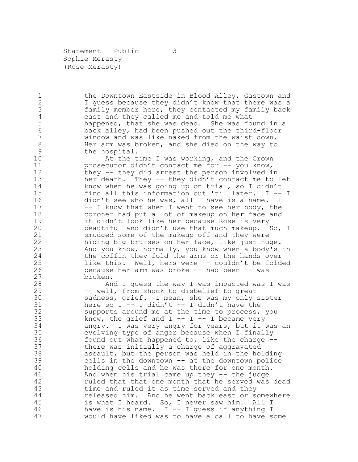Statement – Public 3 Sophie Merasty (Rose Merasty)

1 the Downtown Eastside in Blood Alley, Gastown and<br>2 1 quess because they didn't know that there was a 2 I guess because they didn't know that there was a<br>3 family member here, they contacted my family back family member here, they contacted my family back east and they called me and told me what happened, that she was dead. She was found in a back alley, had been pushed out the third-floor window and was like naked from the waist down. Her arm was broken, and she died on the way to the hospital.

 At the time I was working, and the Crown prosecutor didn't contact me for -- you know, they -- they did arrest the person involved in her death. They -- they didn't contact me to let know when he was going up on trial, so I didn't find all this information out 'til later. I -- I didn't see who he was, all I have is a name. I 17 -- I know that when I went to see her body, the 18 coroner had put a lot of makeup on her face and<br>19 it didn't look like her because Rose is very 19 it didn't look like her because Rose is very<br>20 beautiful and didn't use that much makeup. beautiful and didn't use that much makeup. So, I smudged some of the makeup off and they were hiding big bruises on her face, like just huge. And you know, normally, you know when a body's in the coffin they fold the arms or the hands over like this. Well, hers were -- couldn't be folded because her arm was broke -- had been -- was broken.

 And I guess the way I was impacted was I was -- well, from shock to disbelief to great 30 sadness, grief. I mean, she was my only sister<br>31 here so I -- I didn't -- I didn't have the here so  $I$  -- I didn't -- I didn't have the supports around me at the time to process, you 33 know, the grief and  $I$  --  $I$  -- I became very angry. I was very angry for years, but it was an evolving type of anger because when I finally found out what happened to, like the charge -- there was initially a charge of aggravated assault, but the person was held in the holding cells in the downtown -- at the downtown police holding cells and he was there for one month. And when his trial came up they -- the judge ruled that that one month that he served was dead time and ruled it as time served and they released him. And he went back east or somewhere is what I heard. So, I never saw him. All I have is his name. I -- I guess if anything I would have liked was to have a call to have some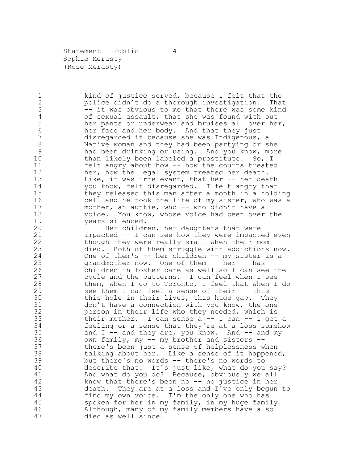Statement – Public 4 Sophie Merasty (Rose Merasty)

1 kind of justice served, because I felt that the<br>2 police didn't do a thorough investigation. That police didn't do a thorough investigation. That 3 -- it was obvious to me that there was some kind<br>4 0 of sexual assault, that she was found with out 4 of sexual assault, that she was found with out<br>5 her pants or underwear and bruises all over he her pants or underwear and bruises all over her, her face and her body. And that they just disregarded it because she was Indigenous, a Native woman and they had been partying or she had been drinking or using. And you know, more 10 than likely been labeled a prostitute. So, I felt angry about how -- how the courts treated her, how the legal system treated her death. 13 Like, it was irrelevant, that her -- her death you know, felt disregarded. I felt angry that they released this man after a month in a holding cell and he took the life of my sister, who was a mother, an auntie, who -- who didn't have a 18 voice. You know, whose voice had been over the 19 19 years silenced.<br>20 Her childr

Her children, her daughters that were impacted -- I can see how they were impacted even though they were really small when their mom died. Both of them struggle with addictions now. One of them's -- her children -- my sister is a grandmother now. One of them -- her -- has children in foster care as well so I can see the cycle and the patterns. I can feel when I see them, when I go to Toronto, I feel that when I do see them I can feel a sense of their -- this -- 30 this hole in their lives, this huge gap. They<br>31 don't have a connection with you know, the one 31 don't have a connection with you know, the one<br>32 berson in their life who they needed, which is person in their life who they needed, which is their mother. I can sense a -- I can -- I get a feeling or a sense that they're at a loss somehow 35 and I -- and they are, you know. And -- and my own family, my -- my brother and sisters -- there's been just a sense of helplessness when talking about her. Like a sense of it happened, but there's no words -- there's no words to describe that. It's just like, what do you say? And what do you do? Because, obviously we all know that there's been no -- no justice in her death. They are at a loss and I've only begun to find my own voice. I'm the only one who has spoken for her in my family, in my huge family. Although, many of my family members have also died as well since.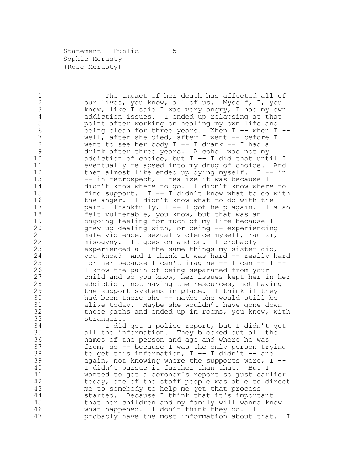Statement - Public 5 Sophie Merasty (Rose Merasty)

1 The impact of her death has affected all of<br>2 our lives, you know, all of us. Myself, I, you 2 our lives, you know, all of us. Myself, I, you<br>3 know, like I said I was very angry, I had my ow know, like I said I was very angry, I had my own 4 addiction issues. I ended up relapsing at that<br>5 boint after working on healing my own life and point after working on healing my own life and being clean for three years. When I -- when I -- well, after she died, after I went -- before I 8 went to see her body I -- I drank -- I had a drink after three years. Alcohol was not my addiction of choice, but I -- I did that until I eventually relapsed into my drug of choice. And then almost like ended up dying myself. I -- in 13 -- in retrospect, I realize it was because I didn't know where to go. I didn't know where to find support. I -- I didn't know what to do with 16 the anger. I didn't know what to do with the pain. Thankfully, I -- I got help again. I also 18 felt vulnerable, you know, but that was an<br>19 ongoing feeling for much of my life becaus 19 ongoing feeling for much of my life because I<br>20 orew up dealing with, or being -- experiencin grew up dealing with, or being  $-$  experiencing male violence, sexual violence myself, racism, misogyny. It goes on and on. I probably experienced all the same things my sister did, you know? And I think it was hard -- really hard for her because I can't imagine -- I can -- I -- I know the pain of being separated from your child and so you know, her issues kept her in her addiction, not having the resources, not having the support systems in place. I think if they 30 had been there she -- maybe she would still be<br>31 alive today. Maybe she wouldn't have gone dow alive today. Maybe she wouldn't have gone down those paths and ended up in rooms, you know, with strangers. I did get a police report, but I didn't get all the information. They blocked out all the names of the person and age and where he was from, so -- because I was the only person trying 38 to get this information,  $I - - I$  didn't  $-$  and again, not knowing where the supports were, I -- I didn't pursue it further than that. But I wanted to get a coroner's report so just earlier today, one of the staff people was able to direct me to somebody to help me get that process started. Because I think that it's important that her children and my family will wanna know what happened. I don't think they do. I

probably have the most information about that. I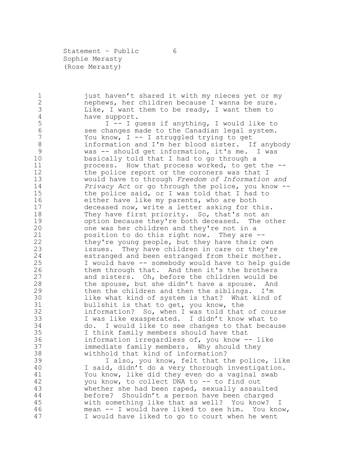Statement - Public 6 Sophie Merasty (Rose Merasty)

1 just haven't shared it with my nieces yet or my<br>2 mephews, her children because I wanna be sure. 2 nephews, her children because I wanna be sure.<br>3 11 Like, I want them to be ready, I want them to 3 Like, I want them to be ready, I want them to 4

4 have support.<br>5  $I - I g$ I -- I guess if anything, I would like to see changes made to the Canadian legal system. You know, I -- I struggled trying to get information and I'm her blood sister. If anybody was -- should get information, it's me. I was basically told that I had to go through a process. How that process worked, to get the -- the police report or the coroners was that I would have to through *Freedom of Information and Privacy Act* or go through the police, you know -- the police said, or I was told that I had to either have like my parents, who are both deceased now, write a letter asking for this. 18 They have first priority. So, that's not an<br>19 option because they're both deceased. The o 19 option because they're both deceased. The other<br>20 one was her children and they're not in a one was her children and they're not in a position to do this right now. They are -- they're young people, but they have their own issues. They have children in care or they're estranged and been estranged from their mother. I would have -- somebody would have to help guide them through that. And then it's the brothers and sisters. Oh, before the children would be the spouse, but she didn't have a spouse. And then the children and then the siblings. I'm 30 like what kind of system is that? What kind of<br>31 bullshit is that to get, you know, the 31 bullshit is that to get, you know, the<br>32 information? So, when I was told that information? So, when I was told that of course I was like exasperated. I didn't know what to do. I would like to see changes to that because I think family members should have that information irregardless of, you know -- like immediate family members. Why should they withhold that kind of information?

 I also, you know, felt that the police, like I said, didn't do a very thorough investigation. You know, like did they even do a vaginal swab you know, to collect DNA to -- to find out whether she had been raped, sexually assaulted before? Shouldn't a person have been charged with something like that as well? You know? I mean -- I would have liked to see him. You know, I would have liked to go to court when he went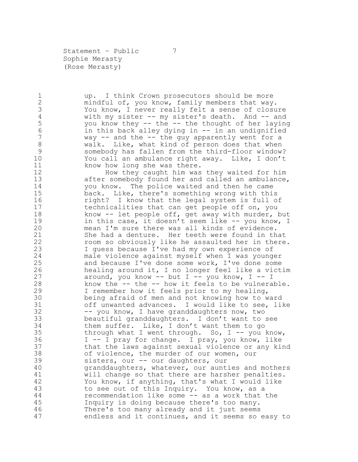Statement - Public 7 Sophie Merasty (Rose Merasty)

1 up. I think Crown prosecutors should be more<br>2 mindful of, you know, family members that way 2 mindful of, you know, family members that way.<br>3 You know, I never really felt a sense of closu 3 You know, I never really felt a sense of closure<br>4 with my sister -- my sister's death. And -- and 4 with my sister -- my sister's death. And -- and<br>5 you know they -- the -- the thought of her laying you know they -- the -- the thought of her laying in this back alley dying in -- in an undignified way -- and the -- the guy apparently went for a 8 walk. Like, what kind of person does that when somebody has fallen from the third-floor window? You call an ambulance right away. Like, I don't 11 know how long she was there.

 How they caught him was they waited for him after somebody found her and called an ambulance, you know. The police waited and then he came back. Like, there's something wrong with this right? I know that the legal system is full of technicalities that can get people off on, you 18 know -- let people off, get away with murder, but<br>19 in this case, it doesn't seem like -- you know, I 19 in this case, it doesn't seem like -- you know, I<br>20 mean I'm sure there was all kinds of evidence. mean I'm sure there was all kinds of evidence. She had a denture. Her teeth were found in that room so obviously like he assaulted her in there. I guess because I've had my own experience of male violence against myself when I was younger and because I've done some work, I've done some healing around it, I no longer feel like a victim around, you know -- but I -- you know, I -- I know the -- the -- how it feels to be vulnerable. I remember how it feels prior to my healing, 30 being afraid of men and not knowing how to ward<br>31 off unwanted advances. I would like to see, li off unwanted advances. I would like to see, like -- you know, I have granddaughters now, two beautiful granddaughters. I don't want to see them suffer. Like, I don't want them to go through what I went through. So, I -- you know, I -- I pray for change. I pray, you know, like that the laws against sexual violence or any kind of violence, the murder of our women, our sisters, our -- our daughters, our granddaughters, whatever, our aunties and mothers will change so that there are harsher penalties. You know, if anything, that's what I would like to see out of this Inquiry. You know, as a recommendation like some -- as a work that the Inquiry is doing because there's too many. There's too many already and it just seems endless and it continues, and it seems so easy to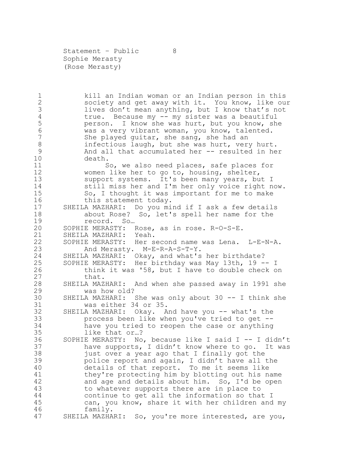Statement - Public 8 Sophie Merasty (Rose Merasty)

1 1 kill an Indian woman or an Indian person in this<br>2 50 society and get away with it. You know, like ou 2 society and get away with it. You know, like our<br>3 lives don't mean anything, but I know that's not 3 lives don't mean anything, but I know that's not<br>4 true. Because my -- my sister was a beautiful true. Because my -- my sister was a beautiful person. I know she was hurt, but you know, she was a very vibrant woman, you know, talented. She played guitar, she sang, she had an 8 infectious laugh, but she was hurt, very hurt. And all that accumulated her -- resulted in her death. So, we also need places, safe places for women like her to go to, housing, shelter, support systems. It's been many years, but I still miss her and I'm her only voice right now. 15 So, I thought it was important for me to make 16 this statement today. SHEILA MAZHARI: Do you mind if I ask a few details 18 about Rose? So, let's spell her name for the record. So... 19 record. So...<br>20 SOPHIE MERASTY: I SOPHIE MERASTY: Rose, as in rose. R-O-S-E. SHEILA MAZHARI: Yeah. SOPHIE MERASTY: Her second name was Lena. L-E-N-A. And Merasty. M-E-R-A-S-T-Y. SHEILA MAZHARI: Okay, and what's her birthdate? SOPHIE MERASTY: Her birthday was May 13th, 19 -- I think it was '58, but I have to double check on 27 that. SHEILA MAZHARI: And when she passed away in 1991 she was how old? SHEILA MAZHARI: She was only about 30 -- I think she was either 34 or 35. SHEILA MAZHARI: Okay. And have you -- what's the process been like when you've tried to get -- have you tried to reopen the case or anything like that or…? SOPHIE MERASTY: No, because like I said I -- I didn't have supports, I didn't know where to go. It was 38 just over a year ago that I finally got the police report and again, I didn't have all the details of that report. To me it seems like they're protecting him by blotting out his name and age and details about him. So, I'd be open to whatever supports there are in place to continue to get all the information so that I can, you know, share it with her children and my family. SHEILA MAZHARI: So, you're more interested, are you,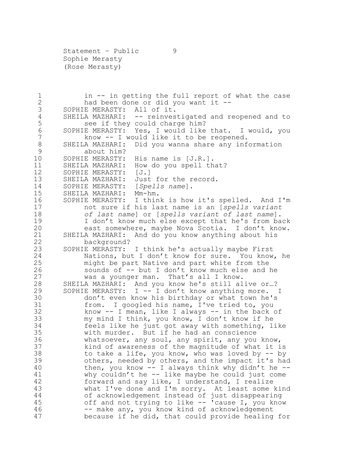Statement - Public 9 Sophie Merasty (Rose Merasty)

1 in -- in getting the full report of what the case<br>2 had been done or did you want it --2 had been done or did you want it --<br>3 SOPHIE MERASTY: All of it. SOPHIE MERASTY: All of it. SHEILA MAZHARI: -- reinvestigated and reopened and to see if they could charge him? SOPHIE MERASTY: Yes, I would like that. I would, you 7 know -- I would like it to be reopened. SHEILA MAZHARI: Did you wanna share any information about him? SOPHIE MERASTY: His name is [J.R.]. SHEILA MAZHARI: How do you spell that? SOPHIE MERASTY: [J.] SHEILA MAZHARI: Just for the record. SOPHIE MERASTY: [*Spells name*]. SHEILA MAZHARI: Mm-hm. SOPHIE MERASTY: I think is how it's spelled. And I'm not sure if his last name is an [*spells variant of last name*] or [*spells variant of last name*]. 19 19 I don't know much else except that he's from back<br>20 3 east somewhere, maybe Nova Scotia. I don't know. east somewhere, maybe Nova Scotia. I don't know. SHEILA MAZHARI: And do you know anything about his background? SOPHIE MERASTY: I think he's actually maybe First Nations, but I don't know for sure. You know, he might be part Native and part white from the sounds of -- but I don't know much else and he was a younger man. That's all I know. SHEILA MAZHARI: And you know he's still alive or…? SOPHIE MERASTY: I -- I don't know anything more. I don't even know his birthday or what town he's from. I googled his name, I've tried to, you know -- I mean, like I always -- in the back of my mind I think, you know, I don't know if he feels like he just got away with something, like with murder. But if he had an conscience whatsoever, any soul, any spirit, any you know, kind of awareness of the magnitude of what it is to take a life, you know, who was loved by -- by others, needed by others, and the impact it's had then, you know -- I always think why didn't he -- why couldn't he -- like maybe he could just come forward and say like, I understand, I realize what I've done and I'm sorry. At least some kind of acknowledgement instead of just disappearing off and not trying to like -- 'cause I, you know 46 -- make any, you know kind of acknowledgement because if he did, that could provide healing for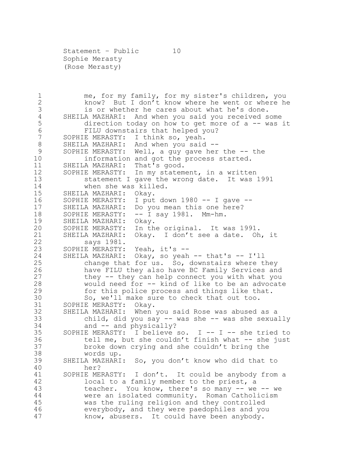Statement - Public 10 Sophie Merasty (Rose Merasty)

1 me, for my family, for my sister's children, you<br>2 know? But I don't know where he went or where h 2 know? But I don't know where he went or where he<br>3 is or whether he cares about what he's done. 3 is or whether he cares about what he's done.<br>4 SHEILA MAZHARI: And when you said you received s SHEILA MAZHARI: And when you said you received some direction today on how to get more of a -- was it FILU downstairs that helped you? SOPHIE MERASTY: I think so, yeah. SHEILA MAZHARI: And when you said -- 9 SOPHIE MERASTY: Well, a guy gave her the -- the information and got the process started. SHEILA MAZHARI: That's good. SOPHIE MERASTY: In my statement, in a written statement I gave the wrong date. It was 1991 when she was killed. SHEILA MAZHARI: Okay. SOPHIE MERASTY: I put down 1980 -- I gave -- SHEILA MAZHARI: Do you mean this one here? 18 SOPHIE MERASTY: -- I say 1981. Mm-hm.<br>19 SHEILA MAZHARI: Okay. SHEILA MAZHARI: Okay. SOPHIE MERASTY: In the original. It was 1991. SHEILA MAZHARI: Okay. I don't see a date. Oh, it says 1981. SOPHIE MERASTY: Yeah, it's -- SHEILA MAZHARI: Okay, so yeah -- that's -- I'll change that for us. So, downstairs where they have FILU they also have BC Family Services and they -- they can help connect you with what you would need for -- kind of like to be an advocate for this police process and things like that. 30 So, we'll make sure to check that out too.<br>31 SOPHIE MERASTY: Okay. SOPHIE MERASTY: Okay. SHEILA MAZHARI: When you said Rose was abused as a child, did you say -- was she -- was she sexually 34 and -- and physically? SOPHIE MERASTY: I believe so. I -- I -- she tried to tell me, but she couldn't finish what -- she just broke down crying and she couldn't bring the words up. SHEILA MAZHARI: So, you don't know who did that to her? SOPHIE MERASTY: I don't. It could be anybody from a local to a family member to the priest, a teacher. You know, there's so many -- we -- we were an isolated community. Roman Catholicism was the ruling religion and they controlled everybody, and they were paedophiles and you know, abusers. It could have been anybody.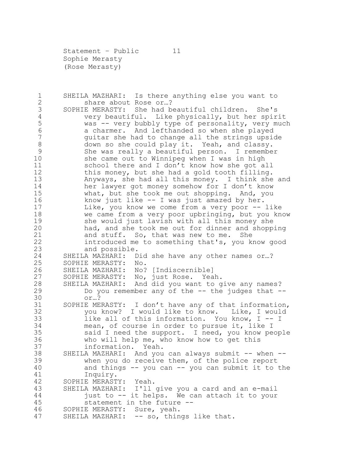Statement – Public 11 Sophie Merasty (Rose Merasty)

1 SHEILA MAZHARI: Is there anything else you want to<br>2 share about Rose or...? 2 share about Rose or...?<br>3 SOPHIE MERASTY: She had b SOPHIE MERASTY: She had beautiful children. She's very beautiful. Like physically, but her spirit was -- very bubbly type of personality, very much a charmer. And lefthanded so when she played guitar she had to change all the strings upside down so she could play it. Yeah, and classy. She was really a beautiful person. I remember she came out to Winnipeg when I was in high school there and I don't know how she got all this money, but she had a gold tooth filling. Anyways, she had all this money. I think she and her lawyer got money somehow for I don't know what, but she took me out shopping. And, you know just like -- I was just amazed by her. Like, you know we come from a very poor -- like 18 we came from a very poor upbringing, but you know<br>19 she would just lavish with all this money she 19 she would just lavish with all this money she<br>20 had, and she took me out for dinner and shopp had, and she took me out for dinner and shopping and stuff. So, that was new to me. She introduced me to something that's, you know good and possible. SHEILA MAZHARI: Did she have any other names or…? SOPHIE MERASTY: No. SHEILA MAZHARI: No? [Indiscernible] SOPHIE MERASTY: No, just Rose. Yeah. SHEILA MAZHARI: And did you want to give any names? Do you remember any of the -- the judges that -- 30 or…?<br>31 SOPHIE ME SOPHIE MERASTY: I don't have any of that information, you know? I would like to know. Like, I would like all of this information. You know, I -- I mean, of course in order to pursue it, like I said I need the support. I need, you know people who will help me, who know how to get this information. Yeah. SHEILA MAZHARI: And you can always submit -- when -- when you do receive them, of the police report and things -- you can -- you can submit it to the Inquiry. SOPHIE MERASTY: Yeah. SHEILA MAZHARI: I'll give you a card and an e-mail just to -- it helps. We can attach it to your statement in the future -- SOPHIE MERASTY: Sure, yeah. 47 SHEILA MAZHARI: -- so, things like that.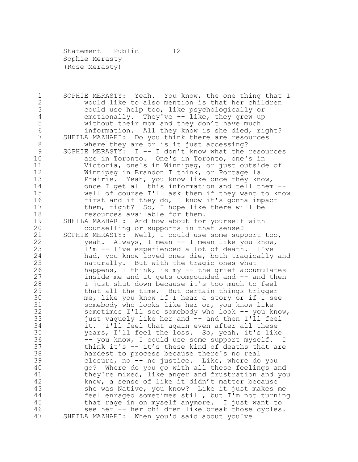Statement - Public 12 Sophie Merasty (Rose Merasty)

1 SOPHIE MERASTY: Yeah. You know, the one thing that I<br>2 would like to also mention is that her children 2 would like to also mention is that her children<br>3 could use help too, like psychologically or could use help too, like psychologically or 4 emotionally. They've -- like, they grew up<br>5 without their mom and they don't have much without their mom and they don't have much information. All they know is she died, right? SHEILA MAZHARI: Do you think there are resources where they are or is it just accessing? SOPHIE MERASTY: I -- I don't know what the resources are in Toronto. One's in Toronto, one's in Victoria, one's in Winnipeg, or just outside of Winnipeg in Brandon I think, or Portage la Prairie. Yeah, you know like once they know, once I get all this information and tell them -- well of course I'll ask them if they want to know 16 first and if they do, I know it's gonna impact them, right? So, I hope like there will be 18 resources available for them.<br>19 SHEILA MAZHARI: And how about for SHEILA MAZHARI: And how about for yourself with counselling or supports in that sense? SOPHIE MERASTY: Well, I could use some support too, yeah. Always, I mean -- I mean like you know, I'm -- I've experienced a lot of death. I've had, you know loved ones die, both tragically and naturally. But with the tragic ones what happens, I think, is my -- the grief accumulates inside me and it gets compounded and -- and then I just shut down because it's too much to feel that all the time. But certain things trigger 30 me, like you know if I hear a story or if I see<br>31 somebody who looks like her or, you know like 31 somebody who looks like her or, you know like<br>32 sometimes I'll see somebody who look -- vou k sometimes I'll see somebody who look -- you know, just vaguely like her and -- and then I'll feel it. I'll feel that again even after all these years, I'll feel the loss. So, yeah, it's like -- you know, I could use some support myself. I think it's -- it's these kind of deaths that are hardest to process because there's no real closure, no -- no justice. Like, where do you go? Where do you go with all these feelings and they're mixed, like anger and frustration and you know, a sense of like it didn't matter because she was Native, you know? Like it just makes me feel enraged sometimes still, but I'm not turning that rage in on myself anymore. I just want to see her -- her children like break those cycles. SHEILA MAZHARI: When you'd said about you've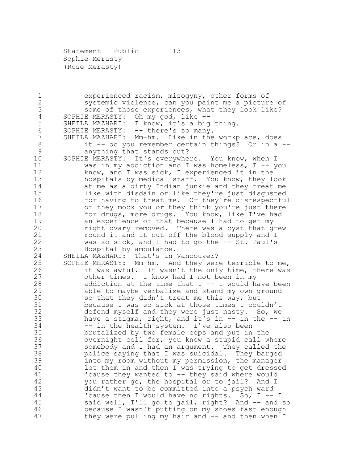Statement - Public 13 Sophie Merasty (Rose Merasty)

1 experienced racism, misogyny, other forms of<br>2 systemic violence, can you paint me a pictur 2 systemic violence, can you paint me a picture of<br>3 some of those experiences, what they look like? 3 some of those experiences, what they look like?<br>4 SOPHIE MERASTY: Oh my god, like --4 SOPHIE MERASTY: Oh my god, like --<br>5 SHEILA MAZHARI: I know, it's a big SHEILA MAZHARI: I know, it's a big thing. SOPHIE MERASTY: -- there's so many. SHEILA MAZHARI: Mm-hm. Like in the workplace, does it -- do you remember certain things? Or in a -- anything that stands out? SOPHIE MERASTY: It's everywhere. You know, when I was in my addiction and I was homeless, I -- you know, and I was sick, I experienced it in the hospitals by medical staff. You know, they look at me as a dirty Indian junkie and they treat me like with disdain or like they're just disgusted 16 for having to treat me. Or they're disrespectful or they mock you or they think you're just there 18 for drugs, more drugs. You know, like I've had<br>19 an experience of that because I had to get my 19 an experience of that because I had to get my<br>20 fight ovary removed. There was a cyst that q right ovary removed. There was a cyst that grew round it and it cut off the blood supply and I was so sick, and I had to go the -- St. Paul's Hospital by ambulance. SHEILA MAZHARI: That's in Vancouver? SOPHIE MERASTY: Mm-hm. And they were terrible to me, it was awful. It wasn't the only time, there was other times. I know had I not been in my addiction at the time that I -- I would have been able to maybe verbalize and stand my own ground 30 so that they didn't treat me this way, but<br>31 because I was so sick at those times I cou 31 because I was so sick at those times I couldn't<br>32 defend myself and they were just nasty. So, we defend myself and they were just nasty. So, we have a stigma, right, and it's in -- in the -- in -- in the health system. I've also been brutalized by two female cops and put in the overnight cell for, you know a stupid call where somebody and I had an argument. They called the police saying that I was suicidal. They barged into my room without my permission, the manager let them in and then I was trying to get dressed 'cause they wanted to -- they said where would you rather go, the hospital or to jail? And I didn't want to be committed into a psych ward 'cause then I would have no rights. So, I -- I said well, I'll go to jail, right? And -- and so because I wasn't putting on my shoes fast enough 47 they were pulling my hair and -- and then when I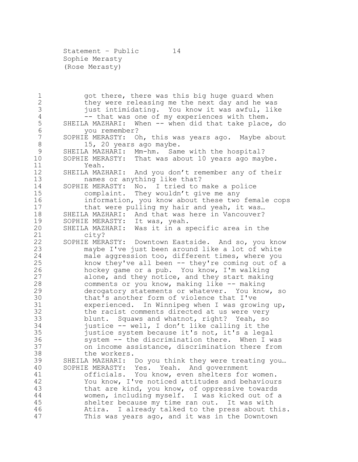Statement – Public 14 Sophie Merasty (Rose Merasty)

1 got there, there was this big huge guard when<br>2 they were releasing me the next day and he wa 2 they were releasing me the next day and he was<br>3 iust intimidating. You know it was awful, lik 3 just intimidating. You know it was awful, like<br>4 -- that was one of my experiences with them. 4 -- that was one of my experiences with them.<br>5 SHEILA MAZHARI: When -- when did that take place SHEILA MAZHARI: When -- when did that take place, do you remember? SOPHIE MERASTY: Oh, this was years ago. Maybe about 8 15, 20 years ago maybe. SHEILA MAZHARI: Mm-hm. Same with the hospital? SOPHIE MERASTY: That was about 10 years ago maybe. Yeah. SHEILA MAZHARI: And you don't remember any of their names or anything like that? SOPHIE MERASTY: No. I tried to make a police complaint. They wouldn't give me any information, you know about these two female cops 17 that were pulling my hair and yeah, it was... 18 SHEILA MAZHARI: And that was here in Vancouver?<br>19 SOPHIE MERASTY: It was, yeah. 19 SOPHIE MERASTY: It was, yeah.<br>20 SHEILA MAZHARI: Was it in a s SHEILA MAZHARI: Was it in a specific area in the city? SOPHIE MERASTY: Downtown Eastside. And so, you know maybe I've just been around like a lot of white male aggression too, different times, where you know they've all been -- they're coming out of a hockey game or a pub. You know, I'm walking alone, and they notice, and they start making comments or you know, making like -- making derogatory statements or whatever. You know, so 30 that's another form of violence that I've<br>31 experienced. In Winnipeg when I was grow: 31 experienced. In Winnipeg when I was growing up,<br>32 the racist comments directed at us were verv the racist comments directed at us were very blunt. Squaws and whatnot, right? Yeah, so justice -- well, I don't like calling it the justice system because it's not, it's a legal system -- the discrimination there. When I was on income assistance, discrimination there from the workers. SHEILA MAZHARI: Do you think they were treating you… SOPHIE MERASTY: Yes. Yeah. And government officials. You know, even shelters for women. You know, I've noticed attitudes and behaviours that are kind, you know, of oppressive towards women, including myself. I was kicked out of a shelter because my time ran out. It was with Atira. I already talked to the press about this. This was years ago, and it was in the Downtown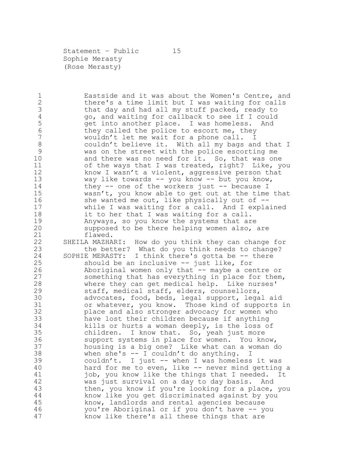Statement - Public 15 Sophie Merasty (Rose Merasty)

1 Eastside and it was about the Women's Centre, and<br>2 there's a time limit but I was waiting for calls 2 there's a time limit but I was waiting for calls<br>3 that day and had all my stuff packed, ready to 3 that day and had all my stuff packed, ready to<br>4 (a) and waiting for callback to see if I could 4 go, and waiting for callback to see if I could<br>5 get into another place. I was homeless. And get into another place. I was homeless. And 6 they called the police to escort me, they wouldn't let me wait for a phone call. I couldn't believe it. With all my bags and that I was on the street with the police escorting me and there was no need for it. So, that was one of the ways that I was treated, right? Like, you know I wasn't a violent, aggressive person that way like towards -- you know -- but you know, 14 they -- one of the workers just -- because I wasn't, you know able to get out at the time that 16 she wanted me out, like physically out of -- while I was waiting for a call. And I explained 18 it to her that I was waiting for a call.<br>19 Manyways, so you know the systems that ar 19 Anyways, so you know the systems that are<br>20 Supposed to be there helping women also, supposed to be there helping women also, are flawed. SHEILA MAZHARI: How do you think they can change for the better? What do you think needs to change? SOPHIE MERASTY: I think there's gotta be -- there should be an inclusive -- just like, for Aboriginal women only that -- maybe a centre or something that has everything in place for them, where they can get medical help. Like nurses' staff, medical staff, elders, counsellors, 30 advocates, food, beds, legal support, legal aid<br>31 or whatever, you know. Those kind of supports 31 or whatever, you know. Those kind of supports in<br>32 blace and also stronger advocacy for women who place and also stronger advocacy for women who have lost their children because if anything kills or hurts a woman deeply, is the loss of children. I know that. So, yeah just more support systems in place for women. You know, housing is a big one? Like what can a woman do when she's -- I couldn't do anything. I couldn't. I just -- when I was homeless it was 40 hard for me to even, like -- never mind getting a job, you know like the things that I needed. It was just survival on a day to day basis. And then, you know if you're looking for a place, you know like you get discriminated against by you know, landlords and rental agencies because you're Aboriginal or if you don't have -- you know like there's all these things that are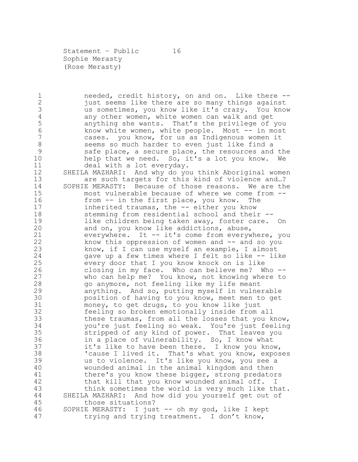Statement - Public 16 Sophie Merasty (Rose Merasty)

1 needed, credit history, on and on. Like there --<br>2 just seems like there are so many things against 2 just seems like there are so many things against<br>3 (1985) us sometimes, you know like it's crazy. You know us sometimes, you know like it's crazy. You know 4 any other women, white women can walk and get<br>5 anything she wants. That's the privilege of anything she wants. That's the privilege of you know white women, white people. Most -- in most cases. you know, for us as Indigenous women it seems so much harder to even just like find a safe place, a secure place, the resources and the help that we need. So, it's a lot you know. We deal with a lot everyday. SHEILA MAZHARI: And why do you think Aboriginal women are such targets for this kind of violence and…? SOPHIE MERASTY: Because of those reasons. We are the most vulnerable because of where we come from -- from -- in the first place, you know. The inherited traumas, the -- either you know 18 stemming from residential school and their --<br>19 like children being taken away, foster care. 19 like children being taken away, foster care. On<br>20 and on, you know like addictions, abuse, and on, you know like addictions, abuse, everywhere. It -- it's come from everywhere, you know this oppression of women and -- and so you know, if I can use myself an example, I almost gave up a few times where I felt so like -- like every door that I you know knock on is like closing in my face. Who can believe me? Who -- who can help me? You know, not knowing where to go anymore, not feeling like my life meant anything. And so, putting myself in vulnerable 30 position of having to you know, meet men to get<br>31 money, to get drugs, to you know like just 31 money, to get drugs, to you know like just<br>32 feeling so broken emotionally inside from feeling so broken emotionally inside from all these traumas, from all the losses that you know, you're just feeling so weak. You're just feeling stripped of any kind of power. That leaves you in a place of vulnerability. So, I know what it's like to have been there. I know you know, 'cause I lived it. That's what you know, exposes us to violence. It's like you know, you see a wounded animal in the animal kingdom and then there's you know these bigger, strong predators that kill that you know wounded animal off. I think sometimes the world is very much like that. SHEILA MAZHARI: And how did you yourself get out of those situations? SOPHIE MERASTY: I just -- oh my god, like I kept

trying and trying treatment. I don't know,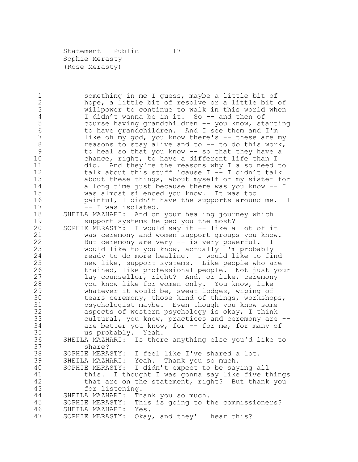Statement - Public 17 Sophie Merasty (Rose Merasty)

1 something in me I guess, maybe a little bit of<br>2 hope, a little bit of resolve or a little bit 2 hope, a little bit of resolve or a little bit of<br>3 willpower to continue to walk in this world when 3 willpower to continue to walk in this world when<br>4 1 didn't wanna be in it. So -- and then of I didn't wanna be in it. So -- and then of course having grandchildren -- you know, starting to have grandchildren. And I see them and I'm 7 like oh my god, you know there's -- these are my 8 reasons to stay alive and to -- to do this work, to heal so that you know -- so that they have a chance, right, to have a different life than I did. And they're the reasons why I also need to talk about this stuff 'cause I -- I didn't talk about these things, about myself or my sister for a long time just because there was you know -- I was almost silenced you know. It was too painful, I didn't have the supports around me. I 17 -- I was isolated. 18 SHEILA MAZHARI: And on your healing journey which<br>19 Support systems helped you the most? 19 support systems helped you the most?<br>20 SOPHIE MERASTY: I would sav it -- like a SOPHIE MERASTY: I would say it -- like a lot of it was ceremony and women support groups you know. But ceremony are very -- is very powerful. I would like to you know, actually I'm probably ready to do more healing. I would like to find new like, support systems. Like people who are trained, like professional people. Not just your lay counsellor, right? And, or like, ceremony you know like for women only. You know, like whatever it would be, sweat lodges, wiping of 30 tears ceremony, those kind of things, workshops,<br>31 sychologist maybe. Even though you know some psychologist maybe. Even though you know some aspects of western psychology is okay, I think cultural, you know, practices and ceremony are -- 34 are better you know, for -- for me, for many of us probably. Yeah. SHEILA MAZHARI: Is there anything else you'd like to share? SOPHIE MERASTY: I feel like I've shared a lot. SHEILA MAZHARI: Yeah. Thank you so much. SOPHIE MERASTY: I didn't expect to be saying all this. I thought I was gonna say like five things that are on the statement, right? But thank you for listening. SHEILA MAZHARI: Thank you so much. SOPHIE MERASTY: This is going to the commissioners? SHEILA MAZHARI: Yes. SOPHIE MERASTY: Okay, and they'll hear this?